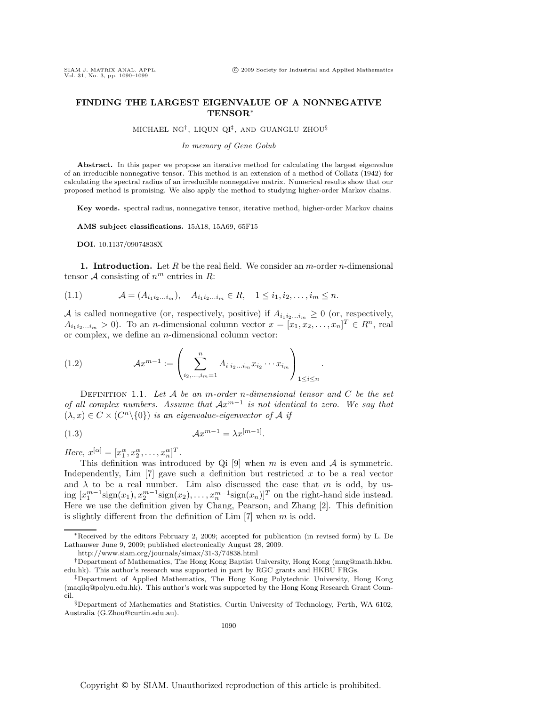.

## **FINDING THE LARGEST EIGENVALUE OF A NONNEGATIVE TENSOR**∗

## MICHAEL NG<sup>†</sup>, LIQUN QI<sup>‡</sup>, AND GUANGLU ZHOU<sup>§</sup>

## *In memory of Gene Golub*

Abstract. In this paper we propose an iterative method for calculating the largest eigenvalue of an irreducible nonnegative tensor. This method is an extension of a method of Collatz (1942) for calculating the spectral radius of an irreducible nonnegative matrix. Numerical results show that our proposed method is promising. We also apply the method to studying higher-order Markov chains.

**Key words.** spectral radius, nonnegative tensor, iterative method, higher-order Markov chains

**AMS subject classifications.** 15A18, 15A69, 65F15

**DOI.** 10.1137/09074838X

**1. Introduction.** Let R be the real field. We consider an m-order n-dimensional tensor A consisting of  $n^m$  entries in R:

$$
(1.1) \t\t A = (A_{i_1 i_2 ... i_m}), \quad A_{i_1 i_2 ... i_m} \in R, \quad 1 \leq i_1, i_2, ..., i_m \leq n.
$$

A is called nonnegative (or, respectively, positive) if  $A_{i_1 i_2 \dots i_m} \geq 0$  (or, respectively,  $A_{i_1 i_2 \dots i_m} > 0$ ). To an *n*-dimensional column vector  $x = [x_1, x_2, \dots, x_n]^T \in R^n$ , real or complex, we define an n-dimensional column vector:

(1.2) 
$$
\mathcal{A}x^{m-1} := \left(\sum_{i_2,\dots,i_m=1}^n A_{i i_2 \dots i_m} x_{i_2} \cdots x_{i_m}\right)_{1 \leq i \leq n}
$$

Definition 1.1. *Let* A *be an* m*-order* n*-dimensional tensor and* C *be the set of all complex numbers. Assume that*  $Ax<sup>m−1</sup>$  *is not identical to zero. We say that*  $(\lambda, x) \in C \times (C^n \setminus \{0\})$  *is an eigenvalue-eigenvector of* A *if* 

$$
(1.3)\qquad \qquad \mathcal{A}x^{m-1} = \lambda x^{[m-1]}.
$$

*Here,*  $x^{[\alpha]} = [x_1^{\alpha}, x_2^{\alpha}, \dots, x_n^{\alpha}]^T$ .

This definition was introduced by Qi [9] when m is even and  $A$  is symmetric. Independently, Lim  $[7]$  gave such a definition but restricted x to be a real vector and  $\lambda$  to be a real number. Lim also discussed the case that m is odd, by using  $[x_1^{m-1}sign(x_1), x_2^{m-1}sign(x_2), \ldots, x_n^{m-1}sign(x_n)]^T$  on the right-hand side instead. Here we use the definition given by Chang, Pearson, and Zhang [2]. This definition is slightly different from the definition of  $\text{Lim}$  [7] when m is odd.

<sup>∗</sup>Received by the editors February 2, 2009; accepted for publication (in revised form) by L. De Lathauwer June 9, 2009; published electronically August 28, 2009.

http://www.siam.org/journals/simax/31-3/74838.html

<sup>†</sup>Department of Mathematics, The Hong Kong Baptist University, Hong Kong (mng@math.hkbu. edu.hk). This author's research was supported in part by RGC grants and HKBU FRGs.

<sup>‡</sup>Department of Applied Mathematics, The Hong Kong Polytechnic University, Hong Kong (maqilq@polyu.edu.hk). This author's work was supported by the Hong Kong Research Grant Council.

<sup>§</sup>Department of Mathematics and Statistics, Curtin University of Technology, Perth, WA 6102, Australia (G.Zhou@curtin.edu.au).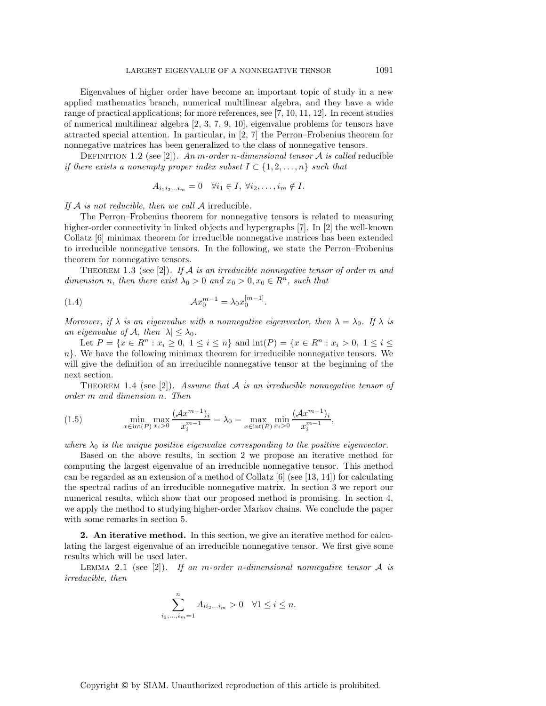Eigenvalues of higher order have become an important topic of study in a new applied mathematics branch, numerical multilinear algebra, and they have a wide range of practical applications; for more references, see [7, 10, 11, 12]. In recent studies of numerical multilinear algebra [2, 3, 7, 9, 10], eigenvalue problems for tensors have attracted special attention. In particular, in [2, 7] the Perron–Frobenius theorem for nonnegative matrices has been generalized to the class of nonnegative tensors.

Definition 1.2 (see [2]). *An* m*-order* n*-dimensional tensor* A *is called* reducible *if there exists a nonempty proper index subset*  $I \subset \{1, 2, ..., n\}$  *such that* 

$$
A_{i_1i_2...i_m} = 0 \quad \forall i_1 \in I, \ \forall i_2, \dots, i_m \notin I.
$$

*If* A *is not reducible, then we call* A irreducible*.*

The Perron–Frobenius theorem for nonnegative tensors is related to measuring higher-order connectivity in linked objects and hypergraphs [7]. In [2] the well-known Collatz [6] minimax theorem for irreducible nonnegative matrices has been extended to irreducible nonnegative tensors. In the following, we state the Perron–Frobenius theorem for nonnegative tensors.

Theorem 1.3 (see [2]). *If* A *is an irreducible nonnegative tensor of order* m *and dimension n, then there exist*  $\lambda_0 > 0$  *and*  $x_0 > 0, x_0 \in \mathbb{R}^n$ *, such that* 

(1.4) 
$$
Ax_0^{m-1} = \lambda_0 x_0^{[m-1]}.
$$

*Moreover, if*  $\lambda$  *is an eigenvalue with a nonnegative eigenvector, then*  $\lambda = \lambda_0$ *. If*  $\lambda$  *is an eigenvalue of*  $\mathcal{A}$ *, then*  $|\lambda| \leq \lambda_0$ *.* 

Let  $P = \{x \in R^n : x_i \ge 0, 1 \le i \le n\}$  and  $\text{int}(P) = \{x \in R^n : x_i > 0, 1 \le i \le n\}$  $n$ . We have the following minimax theorem for irreducible nonnegative tensors. We will give the definition of an irreducible nonnegative tensor at the beginning of the next section.

Theorem 1.4 (see [2]). *Assume that* A *is an irreducible nonnegative tensor of order* m *and dimension* n*. Then*

(1.5) 
$$
\min_{x \in \text{int}(P)} \max_{x_i > 0} \frac{(\mathcal{A}x^{m-1})_i}{x_i^{m-1}} = \lambda_0 = \max_{x \in \text{int}(P)} \min_{x_i > 0} \frac{(\mathcal{A}x^{m-1})_i}{x_i^{m-1}},
$$

*where*  $\lambda_0$  *is the unique positive eigenvalue corresponding to the positive eigenvector.* 

Based on the above results, in section 2 we propose an iterative method for computing the largest eigenvalue of an irreducible nonnegative tensor. This method can be regarded as an extension of a method of Collatz  $[6]$  (see [13, 14]) for calculating the spectral radius of an irreducible nonnegative matrix. In section 3 we report our numerical results, which show that our proposed method is promising. In section 4, we apply the method to studying higher-order Markov chains. We conclude the paper with some remarks in section 5.

**2. An iterative method.** In this section, we give an iterative method for calculating the largest eigenvalue of an irreducible nonnegative tensor. We first give some results which will be used later.

Lemma 2.1 (see [2]). *If an* m*-order* n*-dimensional nonnegative tensor* A *is irreducible, then*

$$
\sum_{i_2,...,i_m=1}^n A_{ii_2...i_m} > 0 \quad \forall 1 \le i \le n.
$$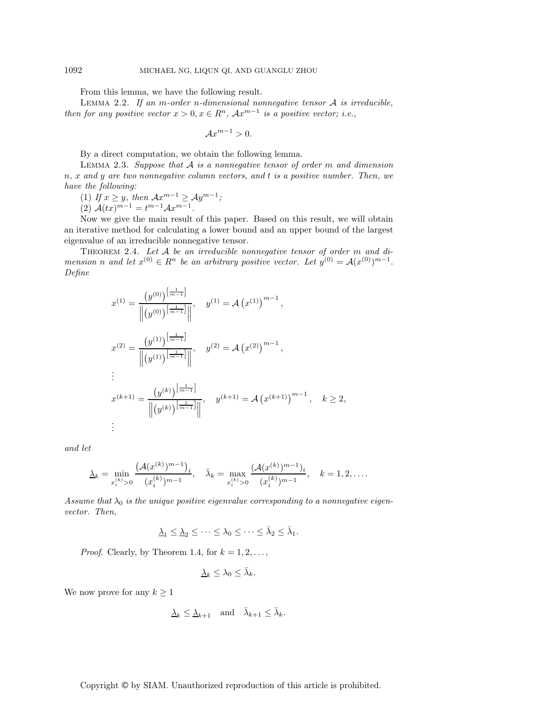From this lemma, we have the following result.

Lemma 2.2. *If an* m*-order* n*-dimensional nonnegative tensor* A *is irreducible, then for any positive vector*  $x > 0, x \in \mathbb{R}^n$ ,  $Ax^{m-1}$  *is a positive vector; i.e.,* 

$$
\mathcal{A}x^{m-1} > 0.
$$

By a direct computation, we obtain the following lemma.

Lemma 2.3. *Suppose that* A *is a nonnegative tensor of order* m *and dimension* n*,* x *and* y *are two nonnegative column vectors, and* t *is a positive number. Then, we have the following:*

(1) *If*  $x \geq y$ *, then*  $Ax^{m-1} \geq Ay^{m-1}$ *;* 

(2)  $\mathcal{A}(tx)^{m-1} = t^{m-1} \mathcal{A} x^{m-1}.$ 

Now we give the main result of this paper. Based on this result, we will obtain an iterative method for calculating a lower bound and an upper bound of the largest eigenvalue of an irreducible nonnegative tensor.

THEOREM 2.4. Let A be an irreducible nonnegative tensor of order m and di*mension n* and let  $x^{(0)} \in R^n$  be an arbitrary positive vector. Let  $y^{(0)} = A(x^{(0)})^{m-1}$ . *Define*

$$
x^{(1)} = \frac{\left(y^{(0)}\right)^{\left[\frac{1}{m-1}\right]}}{\left\| \left(y^{(0)}\right)^{\left[\frac{1}{m-1}\right]}\right\|}, \quad y^{(1)} = \mathcal{A}\left(x^{(1)}\right)^{m-1},
$$
  
\n
$$
x^{(2)} = \frac{\left(y^{(1)}\right)^{\left[\frac{1}{m-1}\right]}}{\left\| \left(y^{(1)}\right)^{\left[\frac{1}{m-1}\right]}\right\|}, \quad y^{(2)} = \mathcal{A}\left(x^{(2)}\right)^{m-1},
$$
  
\n
$$
\vdots
$$
  
\n
$$
x^{(k+1)} = \frac{\left(y^{(k)}\right)^{\left[\frac{1}{m-1}\right]}}{\left\| \left(y^{(k)}\right)^{\left[\frac{1}{m-1}\right]}\right\|}, \quad y^{(k+1)} = \mathcal{A}\left(x^{(k+1)}\right)^{m-1}, \quad k \ge 2,
$$
  
\n
$$
\vdots
$$

*and let*

$$
\underline{\lambda}_k = \min_{x_i^{(k)} > 0} \frac{\left(\mathcal{A}(x^{(k)})^{m-1}\right)_i}{(x_i^{(k)})^{m-1}}, \quad \bar{\lambda}_k = \max_{x_i^{(k)} > 0} \frac{\left(\mathcal{A}(x^{(k)})^{m-1}\right)_i}{(x_i^{(k)})^{m-1}}, \quad k = 1, 2, \dots
$$

Assume that  $\lambda_0$  is the unique positive eigenvalue corresponding to a nonnegative eigen*vector. Then,*

$$
\underline{\lambda}_1\leq \underline{\lambda}_2\leq \cdots \leq \lambda_0\leq \cdots \leq \bar{\lambda}_2\leq \bar{\lambda}_1.
$$

*Proof.* Clearly, by Theorem 1.4, for  $k = 1, 2, \ldots$ ,

$$
\underline{\lambda}_k \leq \lambda_0 \leq \bar{\lambda}_k.
$$

We now prove for any  $k \geq 1$ 

$$
\underline{\lambda}_k \le \underline{\lambda}_{k+1} \quad \text{and} \quad \bar{\lambda}_{k+1} \le \bar{\lambda}_k.
$$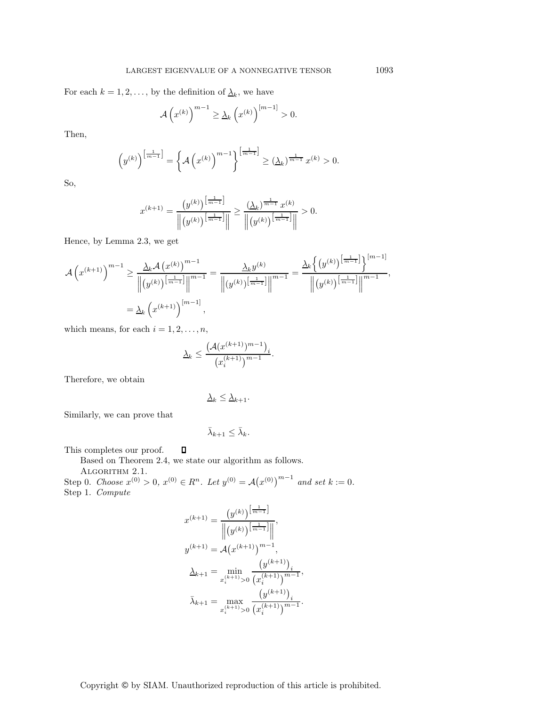For each  $k = 1, 2, \ldots$ , by the definition of  $\lambda_k$ , we have

$$
\mathcal{A}\left(x^{(k)}\right)^{m-1} \geq \underline{\lambda}_k \left(x^{(k)}\right)^{[m-1]} > 0.
$$

Then,

$$
\left(y^{(k)}\right)^{\left[\frac{1}{m-1}\right]} = \left\{\mathcal{A}\left(x^{(k)}\right)^{m-1}\right\}^{\left[\frac{1}{m-1}\right]} \geq \left(\underline{\lambda}_k\right)^{\frac{1}{m-1}} x^{(k)} > 0.
$$

So,

$$
x^{(k+1)} = \frac{\left(y^{(k)}\right)^{\left[\frac{1}{m-1}\right]}}{\left\| \left(y^{(k)}\right)^{\left[\frac{1}{m-1}\right]}\right\|} \ge \frac{\left(\underline{\lambda}_k\right)^{\frac{1}{m-1}} x^{(k)}}{\left\| \left(y^{(k)}\right)^{\left[\frac{1}{m-1}\right]}\right\|} > 0.
$$

Hence, by Lemma 2.3, we get

$$
\mathcal{A}\left(x^{(k+1)}\right)^{m-1} \ge \frac{\underline{\lambda}_k \mathcal{A}\left(x^{(k)}\right)^{m-1}}{\left\| (y^{(k)})^{\left[\frac{1}{m-1}\right]} \right\|^{m-1}} = \frac{\underline{\lambda}_k y^{(k)}}{\left\| (y^{(k)})^{\left[\frac{1}{m-1}\right]} \right\|^{m-1}} = \frac{\underline{\lambda}_k \left\{ (y^{(k)})^{\left[\frac{1}{m-1}\right]} \right\}^{[m-1]} }{\left\| (y^{(k)})^{\left[\frac{1}{m-1}\right]} \right\|^{m-1}},
$$

$$
= \underline{\lambda}_k \left(x^{(k+1)}\right)^{[m-1]},
$$

which means, for each  $i = 1, 2, \ldots, n$ ,

$$
\Delta_k \le \frac{\left(\mathcal{A}(x^{(k+1)})^{m-1}\right)_i}{\left(x_i^{(k+1)}\right)^{m-1}}.
$$

Therefore, we obtain

$$
\underline{\lambda}_k \le \underline{\lambda}_{k+1}.
$$

Similarly, we can prove that

$$
\bar{\lambda}_{k+1} \leq \bar{\lambda}_k.
$$

This completes our proof.  $\Box$ 

Based on Theorem 2.4, we state our algorithm as follows.

Algorithm 2.1.

Step 0. *Choose*  $x^{(0)} > 0$ ,  $x^{(0)} \in R^n$ . Let  $y^{(0)} = A(x^{(0)})^{m-1}$  and set  $k := 0$ . Step 1. *Compute*

$$
x^{(k+1)} = \frac{\left(y^{(k)}\right)^{\left[\frac{1}{m-1}\right]}}{\left\| \left(y^{(k)}\right)^{\left[\frac{1}{m-1}\right]}\right\|},
$$
  

$$
y^{(k+1)} = \mathcal{A}\left(x^{(k+1)}\right)^{m-1},
$$
  

$$
\frac{\lambda_{k+1}}{\lambda_{k+1}} = \min_{x_i^{(k+1)}>0} \frac{\left(y^{(k+1)}\right)_i}{\left(x_i^{(k+1)}\right)^{m-1}},
$$
  

$$
\bar{\lambda}_{k+1} = \max_{x_i^{(k+1)}>0} \frac{\left(y^{(k+1)}\right)_i}{\left(x_i^{(k+1)}\right)^{m-1}}.
$$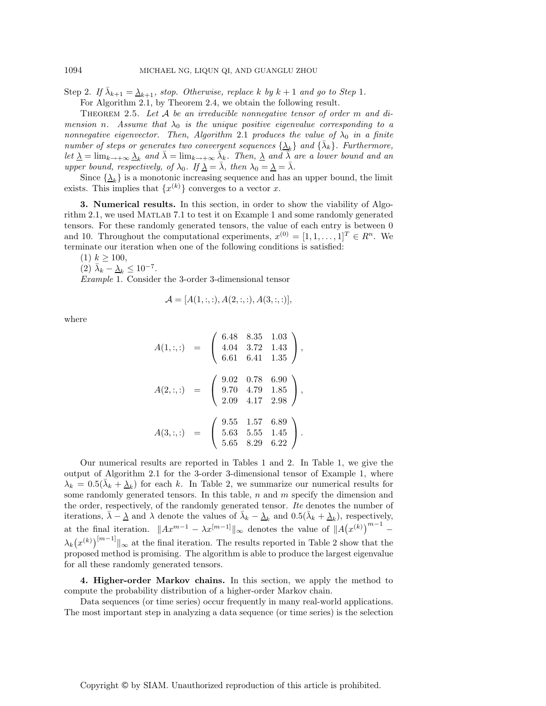Step 2. *If*  $\bar{\lambda}_{k+1} = \underline{\lambda}_{k+1}$ , stop. Otherwise, replace k by  $k+1$  and go to Step 1.

For Algorithm 2.1, by Theorem 2.4, we obtain the following result.

Theorem 2.5. *Let* A *be an irreducible nonnegative tensor of order* m *and dimension n.* Assume that  $\lambda_0$  *is the unique positive eigenvalue corresponding to a nonnegative eigenvector. Then, Algorithm* 2.1 *produces the value of*  $\lambda_0$  *in a finite number of steps or generates two convergent sequences*  $\{\lambda_k\}$  *and*  $\{\bar{\lambda}_k\}$ *. Furthermore, let*  $\lambda = \lim_{k \to +\infty} \lambda_k$  *and*  $\bar{\lambda} = \lim_{k \to +\infty} \bar{\lambda}_k$ *. Then,*  $\lambda$  *and*  $\bar{\lambda}$  *are a lower bound and an upper bound, respectively, of*  $\lambda_0$ *. If*  $\underline{\lambda} = \overline{\lambda}$ *, then*  $\lambda_0 = \underline{\lambda} = \overline{\lambda}$ *.* 

Since  $\{\lambda_k\}$  is a monotonic increasing sequence and has an upper bound, the limit exists. This implies that  $\{x^{(k)}\}$  converges to a vector x.

**3. Numerical results.** In this section, in order to show the viability of Algorithm 2.1, we used Matlab 7.1 to test it on Example 1 and some randomly generated tensors. For these randomly generated tensors, the value of each entry is between 0 and 10. Throughout the computational experiments,  $x^{(0)} = [1, 1, \ldots, 1]^T \in \mathbb{R}^n$ . We terminate our iteration when one of the following conditions is satisfied:

 $(1)$   $k \ge 100$ ,

 $(2)$   $\bar{\lambda}_k - \underline{\lambda}_k \leq 10^{-7}$ .

*Example* 1. Consider the 3-order 3-dimensional tensor

$$
\mathcal{A} = [A(1, :, :, A(2, :, :), A(3, :, :)],
$$

where

$$
A(1, :,) = \begin{pmatrix} 6.48 & 8.35 & 1.03 \\ 4.04 & 3.72 & 1.43 \\ 6.61 & 6.41 & 1.35 \end{pmatrix},
$$
  
\n
$$
A(2, :,) = \begin{pmatrix} 9.02 & 0.78 & 6.90 \\ 9.70 & 4.79 & 1.85 \\ 2.09 & 4.17 & 2.98 \end{pmatrix},
$$
  
\n
$$
A(3, :,) = \begin{pmatrix} 9.55 & 1.57 & 6.89 \\ 5.63 & 5.55 & 1.45 \\ 5.65 & 8.29 & 6.22 \end{pmatrix}.
$$

Our numerical results are reported in Tables 1 and 2. In Table 1, we give the output of Algorithm 2.1 for the 3-order 3-dimensional tensor of Example 1, where  $\lambda_k = 0.5(\bar{\lambda}_k + \underline{\lambda}_k)$  for each k. In Table 2, we summarize our numerical results for some randomly generated tensors. In this table,  $n$  and  $m$  specify the dimension and the order, respectively, of the randomly generated tensor. *Ite* denotes the number of iterations,  $\bar{\lambda} - \underline{\lambda}$  and  $\lambda$  denote the values of  $\bar{\lambda}_k - \underline{\lambda}_k$  and  $0.5(\bar{\lambda}_k + \underline{\lambda}_k)$ , respectively, at the final iteration.  $||Ax^{m-1} - \lambda x^{[m-1]}||_{\infty}$  denotes the value of  $||A(x^{(k)})^{m-1} \lambda_k(x^{(k)})^{[m-1]}$  solution. The results reported in Table 2 show that the proposed method is promising. The algorithm is able to produce the largest eigenvalue for all these randomly generated tensors.

**4. Higher-order Markov chains.** In this section, we apply the method to compute the probability distribution of a higher-order Markov chain.

Data sequences (or time series) occur frequently in many real-world applications. The most important step in analyzing a data sequence (or time series) is the selection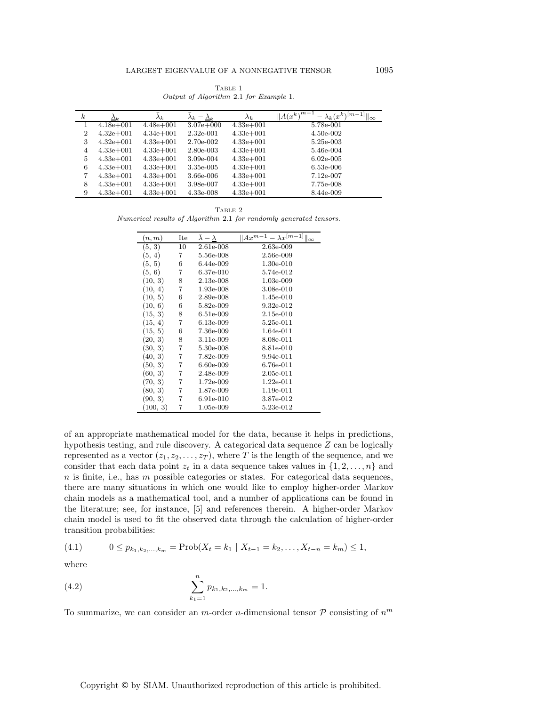${\rm Table}$  1 Output of Algorithm 2.1 for Example 1.

| $\boldsymbol{k}$ | $\Delta_k$    | $\lambda_k$   | $-\Delta_k$<br>$\lambda_k$ | $\lambda_k$   | $  A(x^k)^{m-1}  $<br>$-\lambda_k(x^k)^{[m-1]}$    $\infty$ |
|------------------|---------------|---------------|----------------------------|---------------|-------------------------------------------------------------|
|                  | $4.18e + 001$ | $4.48e + 001$ | $3.07e + 000$              | $4.33e + 001$ | 5.78e-001                                                   |
| $\overline{2}$   | $4.32e+001$   | $4.34e + 001$ | $2.32e-001$                | $4.33e+001$   | $4.50e-002$                                                 |
| 3                | $4.32e+001$   | $4.33e+001$   | 2.70e-002                  | $4.33e+001$   | 5.25e-003                                                   |
| 4                | $4.33e + 001$ | $4.33e+001$   | 2.80e-003                  | $4.33e+001$   | 5.46e-004                                                   |
| 5                | $4.33e + 001$ | $4.33e+001$   | 3.09e-004                  | $4.33e+001$   | $6.02e-005$                                                 |
| 6                | $4.33e + 001$ | $4.33e+001$   | 3.35e-005                  | $4.33e+001$   | $6.53e-006$                                                 |
| 7                | $4.33e+001$   | $4.33e+001$   | 3.66e-006                  | $4.33e+001$   | $7.12e-007$                                                 |
| 8                | $4.33e + 001$ | $4.33e+001$   | 3.98e-007                  | $4.33e+001$   | 7.75e-008                                                   |
| 9                | $4.33e+001$   | $4.33e+001$   | 4.33e-008                  | $4.33e+001$   | 8.44e-009                                                   |

Table 2 Numerical results of Algorithm 2.1 for randomly generated tensors.

| (n, m)   | Ite | $\lambda-\lambda$ | $\overline{\ A}x^{m-1}-\lambda x^{[m-1]}\ _{\infty}$ |
|----------|-----|-------------------|------------------------------------------------------|
| (5, 3)   | 10  | $2.61e-008$       | 2.63e-009                                            |
| (5, 4)   | 7   | 5.56e-008         | 2.56e-009                                            |
| (5, 5)   | 6   | 6.44e-009         | $1.30e-010$                                          |
| (5, 6)   | 7   | 6.37e-010         | 5.74e-012                                            |
| (10, 3)  | 8   | $2.13e-008$       | 1.03e-009                                            |
| (10, 4)  | 7   | 1.93e-008         | 3.08e-010                                            |
| (10, 5)  | 6   | 2.89e-008         | 1.45e-010                                            |
| (10, 6)  | 6   | 5.82e-009         | 9.32e-012                                            |
| (15, 3)  | 8   | 6.51e-009         | $2.15e-010$                                          |
| (15, 4)  | 7   | 6.13e-009         | 5.25e-011                                            |
| (15, 5)  | 6   | 7.36e-009         | 1.64e-011                                            |
| (20, 3)  | 8   | 3.11e-009         | 8.08e-011                                            |
| (30, 3)  | 7   | 5.30e-008         | 8.81e-010                                            |
| (40, 3)  | 7   | 7.82e-009         | 9.94e-011                                            |
| (50, 3)  | 7   | 6.60e-009         | 6.76e-011                                            |
| (60, 3)  | 7   | 2.48e-009         | $2.05e-011$                                          |
| (70, 3)  | 7   | 1.72e-009         | $1.22e-011$                                          |
| (80, 3)  | 7   | 1.87e-009         | 1.19e-011                                            |
| (90, 3)  | 7   | 6.91e-010         | 3.87e-012                                            |
| (100, 3) | 7   | 1.05e-009         | 5.23e-012                                            |

of an appropriate mathematical model for the data, because it helps in predictions, hypothesis testing, and rule discovery. A categorical data sequence Z can be logically represented as a vector  $(z_1, z_2, \ldots, z_T)$ , where T is the length of the sequence, and we consider that each data point  $z_t$  in a data sequence takes values in  $\{1, 2, \ldots, n\}$  and  $n$  is finite, i.e., has  $m$  possible categories or states. For categorical data sequences, there are many situations in which one would like to employ higher-order Markov chain models as a mathematical tool, and a number of applications can be found in the literature; see, for instance, [5] and references therein. A higher-order Markov chain model is used to fit the observed data through the calculation of higher-order transition probabilities:

$$
(4.1) \t 0 \le p_{k_1,k_2,\ldots,k_m} = \text{Prob}(X_t = k_1 \mid X_{t-1} = k_2,\ldots,X_{t-n} = k_m) \le 1,
$$

where

(4.2) 
$$
\sum_{k_1=1}^n p_{k_1,k_2,...,k_m} = 1.
$$

To summarize, we can consider an *m*-order *n*-dimensional tensor  $P$  consisting of  $n<sup>m</sup>$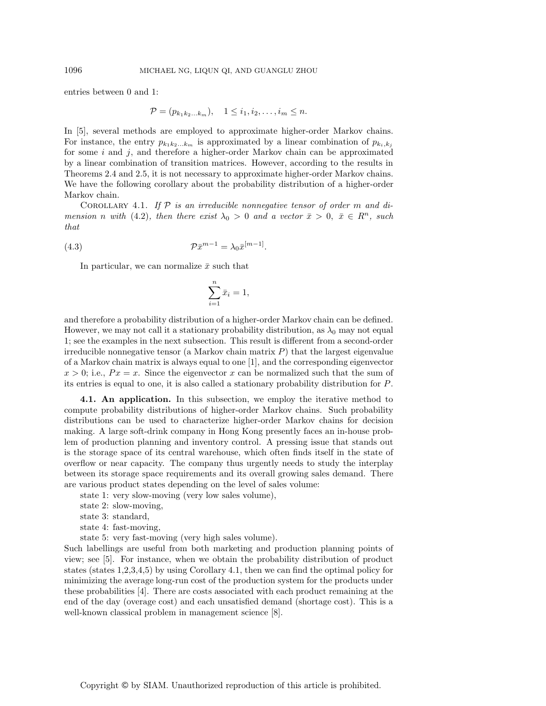entries between 0 and 1:

$$
\mathcal{P} = (p_{k_1k_2...k_m}), \quad 1 \leq i_1, i_2, \dots, i_m \leq n.
$$

In [5], several methods are employed to approximate higher-order Markov chains. For instance, the entry  $p_{k_1k_2...k_m}$  is approximated by a linear combination of  $p_{k_i,k_j}$ for some  $i$  and  $j$ , and therefore a higher-order Markov chain can be approximated by a linear combination of transition matrices. However, according to the results in Theorems 2.4 and 2.5, it is not necessary to approximate higher-order Markov chains. We have the following corollary about the probability distribution of a higher-order Markov chain.

Corollary 4.1. *If* P *is an irreducible nonnegative tensor of order* m *and dimension n with* (4.2), *then there exist*  $\lambda_0 > 0$  *and a vector*  $\bar{x} > 0$ ,  $\bar{x} \in R^n$ , *such that*

$$
(4.3) \t\t\t\t\mathcal{P}\bar{x}^{m-1} = \lambda_0 \bar{x}^{[m-1]}.
$$

In particular, we can normalize  $\bar{x}$  such that

$$
\sum_{i=1}^{n} \bar{x}_i = 1,
$$

and therefore a probability distribution of a higher-order Markov chain can be defined. However, we may not call it a stationary probability distribution, as  $\lambda_0$  may not equal 1; see the examples in the next subsection. This result is different from a second-order irreducible nonnegative tensor (a Markov chain matrix  $P$ ) that the largest eigenvalue of a Markov chain matrix is always equal to one [1], and the corresponding eigenvector  $x > 0$ ; i.e.,  $Px = x$ . Since the eigenvector x can be normalized such that the sum of its entries is equal to one, it is also called a stationary probability distribution for P.

**4.1. An application.** In this subsection, we employ the iterative method to compute probability distributions of higher-order Markov chains. Such probability distributions can be used to characterize higher-order Markov chains for decision making. A large soft-drink company in Hong Kong presently faces an in-house problem of production planning and inventory control. A pressing issue that stands out is the storage space of its central warehouse, which often finds itself in the state of overflow or near capacity. The company thus urgently needs to study the interplay between its storage space requirements and its overall growing sales demand. There are various product states depending on the level of sales volume:

state 1: very slow-moving (very low sales volume),

state 2: slow-moving,

- state 3: standard,
- state 4: fast-moving,

state 5: very fast-moving (very high sales volume).

Such labellings are useful from both marketing and production planning points of view; see [5]. For instance, when we obtain the probability distribution of product states (states 1,2,3,4,5) by using Corollary 4.1, then we can find the optimal policy for minimizing the average long-run cost of the production system for the products under these probabilities [4]. There are costs associated with each product remaining at the end of the day (overage cost) and each unsatisfied demand (shortage cost). This is a well-known classical problem in management science [8].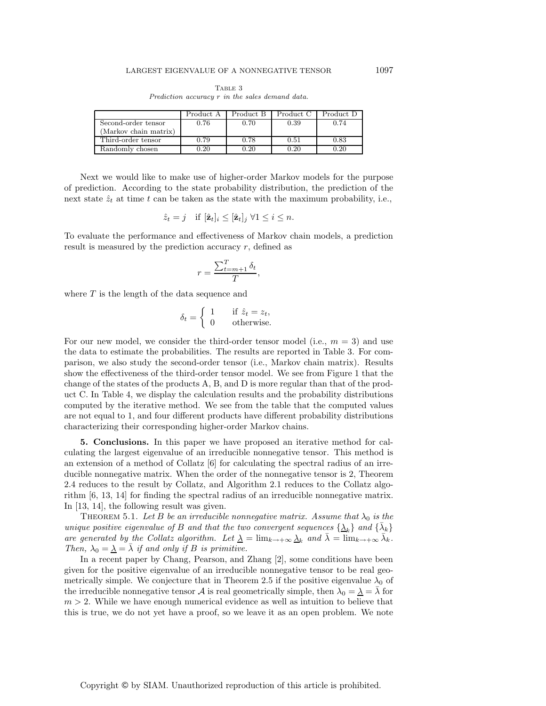|                       | Product A | Product B | Product C | Product D |
|-----------------------|-----------|-----------|-----------|-----------|
| Second-order tensor   | 0.76      | 0.70      | 0.39      | 0.74      |
| (Markov chain matrix) |           |           |           |           |
| Third-order tensor    | 0.79      | 0.78      | 0.51      | 0.83      |
| Randomly chosen       | 0.20      | 0.20      | 0.20      | 0.20      |

Table 3 Prediction accuracy r in the sales demand data.

Next we would like to make use of higher-order Markov models for the purpose of prediction. According to the state probability distribution, the prediction of the next state  $\hat{z}_t$  at time t can be taken as the state with the maximum probability, i.e.,

$$
\hat{z}_t = j
$$
 if  $[\hat{\mathbf{z}}_t]_i \leq [\hat{\mathbf{z}}_t]_j \ \forall 1 \leq i \leq n$ .

To evaluate the performance and effectiveness of Markov chain models, a prediction result is measured by the prediction accuracy  $r$ , defined as

$$
r = \frac{\sum_{t=m+1}^{T} \delta_t}{T},
$$

where  $T$  is the length of the data sequence and

$$
\delta_t = \begin{cases} 1 & \text{if } \hat{z}_t = z_t, \\ 0 & \text{otherwise.} \end{cases}
$$

For our new model, we consider the third-order tensor model (i.e.,  $m = 3$ ) and use the data to estimate the probabilities. The results are reported in Table 3. For comparison, we also study the second-order tensor (i.e., Markov chain matrix). Results show the effectiveness of the third-order tensor model. We see from Figure 1 that the change of the states of the products A, B, and D is more regular than that of the product C. In Table 4, we display the calculation results and the probability distributions computed by the iterative method. We see from the table that the computed values are not equal to 1, and four different products have different probability distributions characterizing their corresponding higher-order Markov chains.

**5. Conclusions.** In this paper we have proposed an iterative method for calculating the largest eigenvalue of an irreducible nonnegative tensor. This method is an extension of a method of Collatz [6] for calculating the spectral radius of an irreducible nonnegative matrix. When the order of the nonnegative tensor is 2, Theorem 2.4 reduces to the result by Collatz, and Algorithm 2.1 reduces to the Collatz algorithm [6, 13, 14] for finding the spectral radius of an irreducible nonnegative matrix. In [13, 14], the following result was given.

THEOREM 5.1. Let B be an irreducible nonnegative matrix. Assume that  $\lambda_0$  is the *unique positive eigenvalue of* B *and that the two convergent sequences*  $\{\lambda_k\}$  *and*  $\{\lambda_k\}$ *are generated by the Collatz algorithm. Let*  $\underline{\lambda} = \lim_{k \to +\infty} \underline{\lambda}_k$  *and*  $\overline{\lambda} = \lim_{k \to +\infty} \overline{\lambda}_k$ *. Then,*  $\lambda_0 = \lambda = \overline{\lambda}$  *if and only if B is primitive.* 

In a recent paper by Chang, Pearson, and Zhang [2], some conditions have been given for the positive eigenvalue of an irreducible nonnegative tensor to be real geometrically simple. We conjecture that in Theorem 2.5 if the positive eigenvalue  $\lambda_0$  of the irreducible nonnegative tensor A is real geometrically simple, then  $\lambda_0 = \lambda = \lambda$  for  $m > 2$ . While we have enough numerical evidence as well as intuition to believe that this is true, we do not yet have a proof, so we leave it as an open problem. We note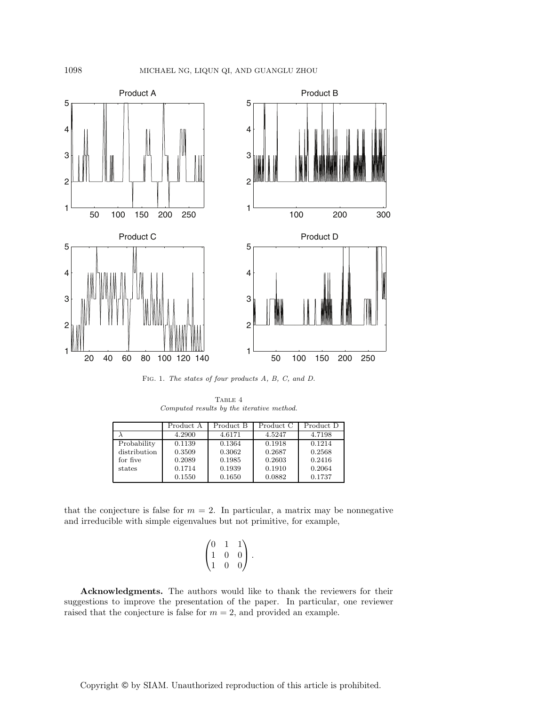

Fig. 1. The states of four products A, B, C, and D.

TABLE  $4\,$ Computed results by the iterative method.

|              | Product A | Product B | Product C | Product D |
|--------------|-----------|-----------|-----------|-----------|
|              | 4.2900    | 4.6171    | 4.5247    | 4.7198    |
| Probability  | 0.1139    | 0.1364    | 0.1918    | 0.1214    |
| distribution | 0.3509    | 0.3062    | 0.2687    | 0.2568    |
| for five     | 0.2089    | 0.1985    | 0.2603    | 0.2416    |
| states       | 0.1714    | 0.1939    | 0.1910    | 0.2064    |
|              | 0.1550    | 0.1650    | 0.0882    | 0.1737    |

that the conjecture is false for  $m = 2$ . In particular, a matrix may be nonnegative and irreducible with simple eigenvalues but not primitive, for example,

$$
\begin{pmatrix} 0 & 1 & 1 \ 1 & 0 & 0 \ 1 & 0 & 0 \end{pmatrix}.
$$

**Acknowledgments.** The authors would like to thank the reviewers for their suggestions to improve the presentation of the paper. In particular, one reviewer raised that the conjecture is false for  $m = 2$ , and provided an example.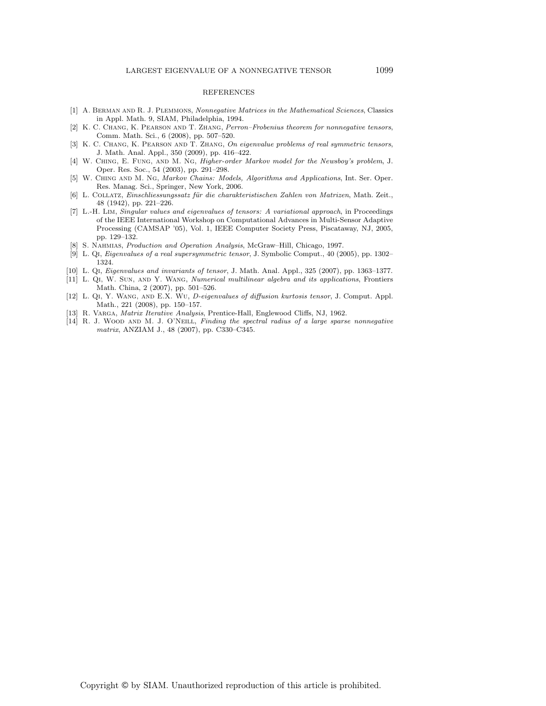## REFERENCES

- [1] A. Berman and R. J. Plemmons, Nonnegative Matrices in the Mathematical Sciences, Classics in Appl. Math. 9, SIAM, Philadelphia, 1994.
- [2] K. C. Chang, K. Pearson and T. Zhang, Perron–Frobenius theorem for nonnegative tensors, Comm. Math. Sci., 6 (2008), pp. 507–520.
- [3] K. C. Chang, K. Pearson and T. Zhang, On eigenvalue problems of real symmetric tensors, J. Math. Anal. Appl., 350 (2009), pp. 416–422.
- [4] W. Ching, E. Fung, and M. Ng, Higher-order Markov model for the Newsboy's problem, J. Oper. Res. Soc., 54 (2003), pp. 291–298.
- [5] W. Ching and M. Ng, Markov Chains: Models, Algorithms and Applications, Int. Ser. Oper. Res. Manag. Sci., Springer, New York, 2006.
- [6] L. COLLATZ, Einschliessungssatz für die charakteristischen Zahlen von Matrizen, Math. Zeit., 48 (1942), pp. 221–226.
- [7] L.-H. Lim, Singular values and eigenvalues of tensors: A variational approach, in Proceedings of the IEEE International Workshop on Computational Advances in Multi-Sensor Adaptive Processing (CAMSAP '05), Vol. 1, IEEE Computer Society Press, Piscataway, NJ, 2005, pp. 129–132.
- S. NAHMIAS, Production and Operation Analysis, McGraw-Hill, Chicago, 1997.
- [9] L. Qi, Eigenvalues of a real supersymmetric tensor, J. Symbolic Comput., 40 (2005), pp. 1302– 1324.
- [10] L. Qi, Eigenvalues and invariants of tensor, J. Math. Anal. Appl., 325 (2007), pp. 1363–1377.
- [11] L. Qi, W. Sun, and Y. Wang, Numerical multilinear algebra and its applications, Frontiers Math. China, 2 (2007), pp. 501–526.
- [12] L. Qi, Y. Wang, and E.X. Wu, D-eigenvalues of diffusion kurtosis tensor, J. Comput. Appl. Math., 221 (2008), pp. 150–157.
- [13] R. VARGA, *Matrix Iterative Analysis*, Prentice-Hall, Englewood Cliffs, NJ, 1962.
- [14] R. J. WOOD AND M. J. O'NEILL, Finding the spectral radius of a large sparse nonnegative matrix, ANZIAM J., 48 (2007), pp. C330–C345.